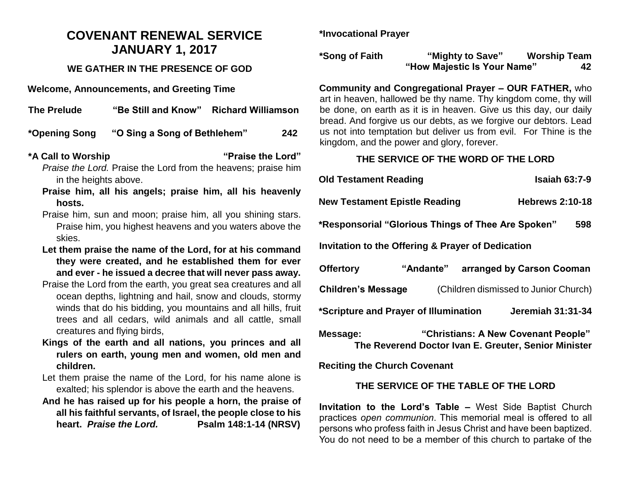# **COVENANT RENEWAL SERVICE JANUARY 1, 2017**

#### **WE GATHER IN THE PRESENCE OF GOD**

**Welcome, Announcements, and Greeting Time** 

| <b>The Prelude</b> | "Be Still and Know"          | <b>Richard Williamson</b> |     |
|--------------------|------------------------------|---------------------------|-----|
| *Opening Song      | "O Sing a Song of Bethlehem" |                           | 242 |
| *A Call to Worship |                              | "Praise the Lord"         |     |

*Praise the Lord.* Praise the Lord from the heavens; praise him in the heights above.

- **Praise him, all his angels; praise him, all his heavenly hosts.**
- Praise him, sun and moon; praise him, all you shining stars. Praise him, you highest heavens and you waters above the skies.
- **Let them praise the name of the Lord, for at his command they were created, and he established them for ever and ever - he issued a decree that will never pass away.**
- Praise the Lord from the earth, you great sea creatures and all ocean depths, lightning and hail, snow and clouds, stormy winds that do his bidding, you mountains and all hills, fruit trees and all cedars, wild animals and all cattle, small creatures and flying birds,
- **Kings of the earth and all nations, you princes and all rulers on earth, young men and women, old men and children.**
- Let them praise the name of the Lord, for his name alone is exalted; his splendor is above the earth and the heavens.
- **And he has raised up for his people a horn, the praise of all his faithful servants, of Israel, the people close to his heart.** *Praise the Lord.* **Psalm 148:1-14 (NRSV)**

**\*Invocational Prayer**

**\*Song of Faith "Mighty to Save" Worship Team "How Majestic Is Your Name" 42**

**Community and Congregational Prayer – OUR FATHER,** who art in heaven, hallowed be thy name. Thy kingdom come, thy will be done, on earth as it is in heaven. Give us this day, our daily bread. And forgive us our debts, as we forgive our debtors. Lead us not into temptation but deliver us from evil. For Thine is the kingdom, and the power and glory, forever.

#### **THE SERVICE OF THE WORD OF THE LORD**

| <b>Old Testament Reading</b>                                       |           |                        | <b>Isaiah 63:7-9</b>      |  |  |  |
|--------------------------------------------------------------------|-----------|------------------------|---------------------------|--|--|--|
| <b>New Testament Epistle Reading</b>                               |           | <b>Hebrews 2:10-18</b> |                           |  |  |  |
| *Responsorial "Glorious Things of Thee Are Spoken"<br>598          |           |                        |                           |  |  |  |
| Invitation to the Offering & Prayer of Dedication                  |           |                        |                           |  |  |  |
| <b>Offertory</b>                                                   | "Andante" |                        | arranged by Carson Cooman |  |  |  |
| <b>Children's Message</b><br>(Children dismissed to Junior Church) |           |                        |                           |  |  |  |
| *Scripture and Prayer of Illumination<br>Jeremiah 31:31-34         |           |                        |                           |  |  |  |

**Message: "Christians: A New Covenant People" The Reverend Doctor Ivan E. Greuter, Senior Minister**

**Reciting the Church Covenant** 

### **THE SERVICE OF THE TABLE OF THE LORD**

**Invitation to the Lord's Table –** West Side Baptist Church practices *open communion*. This memorial meal is offered to all persons who profess faith in Jesus Christ and have been baptized. You do not need to be a member of this church to partake of the